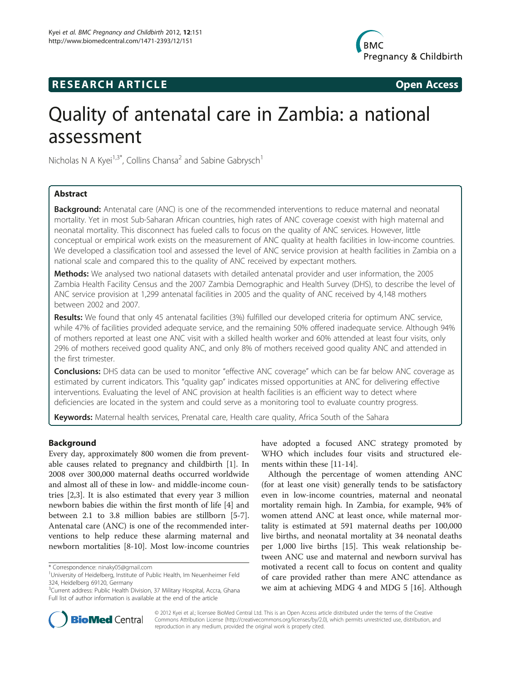

## **RESEARCH ARTICLE Example 2014 CONSIDERING CONSIDERING CONSIDERING CONSIDERING CONSIDERING CONSIDERING CONSIDERING CONSIDERING CONSIDERING CONSIDERING CONSIDERING CONSIDERING CONSIDERING CONSIDERING CONSIDERING CONSIDE**

# Quality of antenatal care in Zambia: a national assessment

Nicholas N A Kyei<sup>1,3\*</sup>, Collins Chansa<sup>2</sup> and Sabine Gabrysch<sup>1</sup>

## Abstract

**Background:** Antenatal care (ANC) is one of the recommended interventions to reduce maternal and neonatal mortality. Yet in most Sub-Saharan African countries, high rates of ANC coverage coexist with high maternal and neonatal mortality. This disconnect has fueled calls to focus on the quality of ANC services. However, little conceptual or empirical work exists on the measurement of ANC quality at health facilities in low-income countries. We developed a classification tool and assessed the level of ANC service provision at health facilities in Zambia on a national scale and compared this to the quality of ANC received by expectant mothers.

Methods: We analysed two national datasets with detailed antenatal provider and user information, the 2005 Zambia Health Facility Census and the 2007 Zambia Demographic and Health Survey (DHS), to describe the level of ANC service provision at 1,299 antenatal facilities in 2005 and the quality of ANC received by 4,148 mothers between 2002 and 2007.

Results: We found that only 45 antenatal facilities (3%) fulfilled our developed criteria for optimum ANC service, while 47% of facilities provided adequate service, and the remaining 50% offered inadequate service. Although 94% of mothers reported at least one ANC visit with a skilled health worker and 60% attended at least four visits, only 29% of mothers received good quality ANC, and only 8% of mothers received good quality ANC and attended in the first trimester.

**Conclusions:** DHS data can be used to monitor "effective ANC coverage" which can be far below ANC coverage as estimated by current indicators. This "quality gap" indicates missed opportunities at ANC for delivering effective interventions. Evaluating the level of ANC provision at health facilities is an efficient way to detect where deficiencies are located in the system and could serve as a monitoring tool to evaluate country progress.

Keywords: Maternal health services, Prenatal care, Health care quality, Africa South of the Sahara

## Background

Every day, approximately 800 women die from preventable causes related to pregnancy and childbirth [\[1](#page-9-0)]. In 2008 over 300,000 maternal deaths occurred worldwide and almost all of these in low- and middle-income countries [\[2,3](#page-9-0)]. It is also estimated that every year 3 million newborn babies die within the first month of life [\[4](#page-9-0)] and between 2.1 to 3.8 million babies are stillborn [[5-7](#page-9-0)]. Antenatal care (ANC) is one of the recommended interventions to help reduce these alarming maternal and newborn mortalities [[8](#page-9-0)-[10\]](#page-9-0). Most low-income countries

have adopted a focused ANC strategy promoted by WHO which includes four visits and structured elements within these [[11](#page-9-0)[-14\]](#page-10-0).

Although the percentage of women attending ANC (for at least one visit) generally tends to be satisfactory even in low-income countries, maternal and neonatal mortality remain high. In Zambia, for example, 94% of women attend ANC at least once, while maternal mortality is estimated at 591 maternal deaths per 100,000 live births, and neonatal mortality at 34 neonatal deaths per 1,000 live births [\[15\]](#page-10-0). This weak relationship between ANC use and maternal and newborn survival has motivated a recent call to focus on content and quality of care provided rather than mere ANC attendance as we aim at achieving MDG 4 and MDG 5 [[16\]](#page-10-0). Although



© 2012 Kyei et al.; licensee BioMed Central Ltd. This is an Open Access article distributed under the terms of the Creative Commons Attribution License [\(http://creativecommons.org/licenses/by/2.0\)](http://creativecommons.org/licenses/by/2.0), which permits unrestricted use, distribution, and reproduction in any medium, provided the original work is properly cited.

<sup>\*</sup> Correspondence: [ninaky05@gmail.com](mailto:ninaky05@gmail.com) <sup>1</sup>

University of Heidelberg, Institute of Public Health, Im Neuenheimer Feld 324, Heidelberg 69120, Germany

<sup>&</sup>lt;sup>3</sup>Current address: Public Health Division, 37 Military Hospital, Accra, Ghana Full list of author information is available at the end of the article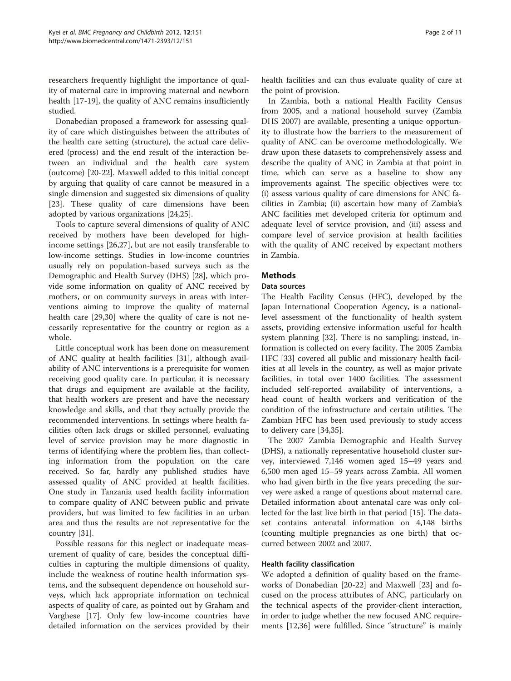researchers frequently highlight the importance of quality of maternal care in improving maternal and newborn health [\[17](#page-10-0)-[19](#page-10-0)], the quality of ANC remains insufficiently studied.

Donabedian proposed a framework for assessing quality of care which distinguishes between the attributes of the health care setting (structure), the actual care delivered (process) and the end result of the interaction between an individual and the health care system (outcome) [\[20-22](#page-10-0)]. Maxwell added to this initial concept by arguing that quality of care cannot be measured in a single dimension and suggested six dimensions of quality [[23\]](#page-10-0). These quality of care dimensions have been adopted by various organizations [[24,25\]](#page-10-0).

Tools to capture several dimensions of quality of ANC received by mothers have been developed for highincome settings [\[26,27\]](#page-10-0), but are not easily transferable to low-income settings. Studies in low-income countries usually rely on population-based surveys such as the Demographic and Health Survey (DHS) [[28\]](#page-10-0), which provide some information on quality of ANC received by mothers, or on community surveys in areas with interventions aiming to improve the quality of maternal health care [[29,30\]](#page-10-0) where the quality of care is not necessarily representative for the country or region as a whole.

Little conceptual work has been done on measurement of ANC quality at health facilities [[31\]](#page-10-0), although availability of ANC interventions is a prerequisite for women receiving good quality care. In particular, it is necessary that drugs and equipment are available at the facility, that health workers are present and have the necessary knowledge and skills, and that they actually provide the recommended interventions. In settings where health facilities often lack drugs or skilled personnel, evaluating level of service provision may be more diagnostic in terms of identifying where the problem lies, than collecting information from the population on the care received. So far, hardly any published studies have assessed quality of ANC provided at health facilities. One study in Tanzania used health facility information to compare quality of ANC between public and private providers, but was limited to few facilities in an urban area and thus the results are not representative for the country [\[31](#page-10-0)].

Possible reasons for this neglect or inadequate measurement of quality of care, besides the conceptual difficulties in capturing the multiple dimensions of quality, include the weakness of routine health information systems, and the subsequent dependence on household surveys, which lack appropriate information on technical aspects of quality of care, as pointed out by Graham and Varghese [\[17](#page-10-0)]. Only few low-income countries have detailed information on the services provided by their health facilities and can thus evaluate quality of care at the point of provision.

In Zambia, both a national Health Facility Census from 2005, and a national household survey (Zambia DHS 2007) are available, presenting a unique opportunity to illustrate how the barriers to the measurement of quality of ANC can be overcome methodologically. We draw upon these datasets to comprehensively assess and describe the quality of ANC in Zambia at that point in time, which can serve as a baseline to show any improvements against. The specific objectives were to: (i) assess various quality of care dimensions for ANC facilities in Zambia; (ii) ascertain how many of Zambia's ANC facilities met developed criteria for optimum and adequate level of service provision, and (iii) assess and compare level of service provision at health facilities with the quality of ANC received by expectant mothers in Zambia.

## **Methods**

#### Data sources

The Health Facility Census (HFC), developed by the Japan International Cooperation Agency, is a nationallevel assessment of the functionality of health system assets, providing extensive information useful for health system planning [[32](#page-10-0)]. There is no sampling; instead, information is collected on every facility. The 2005 Zambia HFC [[33](#page-10-0)] covered all public and missionary health facilities at all levels in the country, as well as major private facilities, in total over 1400 facilities. The assessment included self-reported availability of interventions, a head count of health workers and verification of the condition of the infrastructure and certain utilities. The Zambian HFC has been used previously to study access to delivery care [[34](#page-10-0),[35](#page-10-0)].

The 2007 Zambia Demographic and Health Survey (DHS), a nationally representative household cluster survey, interviewed 7,146 women aged 15–49 years and 6,500 men aged 15–59 years across Zambia. All women who had given birth in the five years preceding the survey were asked a range of questions about maternal care. Detailed information about antenatal care was only collected for the last live birth in that period [[15\]](#page-10-0). The dataset contains antenatal information on 4,148 births (counting multiple pregnancies as one birth) that occurred between 2002 and 2007.

## Health facility classification

We adopted a definition of quality based on the frameworks of Donabedian [[20-22\]](#page-10-0) and Maxwell [\[23](#page-10-0)] and focused on the process attributes of ANC, particularly on the technical aspects of the provider-client interaction, in order to judge whether the new focused ANC requirements [\[12,36\]](#page-10-0) were fulfilled. Since "structure" is mainly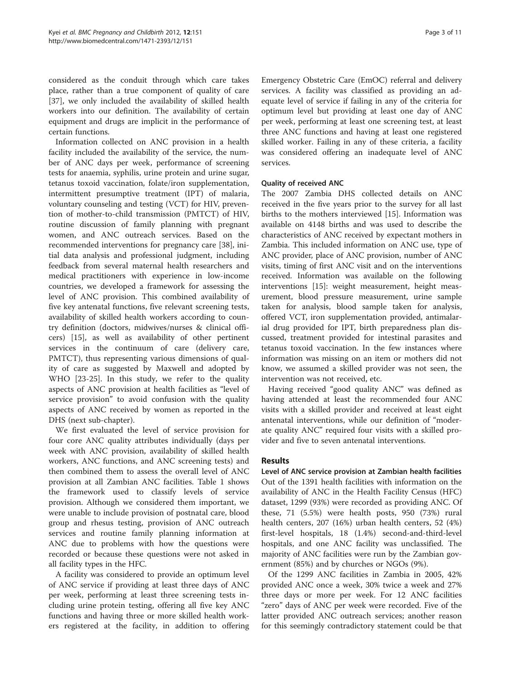considered as the conduit through which care takes place, rather than a true component of quality of care [[37\]](#page-10-0), we only included the availability of skilled health workers into our definition. The availability of certain equipment and drugs are implicit in the performance of certain functions.

Information collected on ANC provision in a health facility included the availability of the service, the number of ANC days per week, performance of screening tests for anaemia, syphilis, urine protein and urine sugar, tetanus toxoid vaccination, folate/iron supplementation, intermittent presumptive treatment (IPT) of malaria, voluntary counseling and testing (VCT) for HIV, prevention of mother-to-child transmission (PMTCT) of HIV, routine discussion of family planning with pregnant women, and ANC outreach services. Based on the recommended interventions for pregnancy care [\[38](#page-10-0)], initial data analysis and professional judgment, including feedback from several maternal health researchers and medical practitioners with experience in low-income countries, we developed a framework for assessing the level of ANC provision. This combined availability of five key antenatal functions, five relevant screening tests, availability of skilled health workers according to country definition (doctors, midwives/nurses & clinical officers) [[15\]](#page-10-0), as well as availability of other pertinent services in the continuum of care (delivery care, PMTCT), thus representing various dimensions of quality of care as suggested by Maxwell and adopted by WHO [[23-25\]](#page-10-0). In this study, we refer to the quality aspects of ANC provision at health facilities as "level of service provision" to avoid confusion with the quality aspects of ANC received by women as reported in the DHS (next sub-chapter).

We first evaluated the level of service provision for four core ANC quality attributes individually (days per week with ANC provision, availability of skilled health workers, ANC functions, and ANC screening tests) and then combined them to assess the overall level of ANC provision at all Zambian ANC facilities. Table [1](#page-3-0) shows the framework used to classify levels of service provision. Although we considered them important, we were unable to include provision of postnatal care, blood group and rhesus testing, provision of ANC outreach services and routine family planning information at ANC due to problems with how the questions were recorded or because these questions were not asked in all facility types in the HFC.

A facility was considered to provide an optimum level of ANC service if providing at least three days of ANC per week, performing at least three screening tests including urine protein testing, offering all five key ANC functions and having three or more skilled health workers registered at the facility, in addition to offering Emergency Obstetric Care (EmOC) referral and delivery services. A facility was classified as providing an adequate level of service if failing in any of the criteria for optimum level but providing at least one day of ANC per week, performing at least one screening test, at least three ANC functions and having at least one registered skilled worker. Failing in any of these criteria, a facility was considered offering an inadequate level of ANC services.

## Quality of received ANC

The 2007 Zambia DHS collected details on ANC received in the five years prior to the survey for all last births to the mothers interviewed [[15\]](#page-10-0). Information was available on 4148 births and was used to describe the characteristics of ANC received by expectant mothers in Zambia. This included information on ANC use, type of ANC provider, place of ANC provision, number of ANC visits, timing of first ANC visit and on the interventions received. Information was available on the following interventions [\[15\]](#page-10-0): weight measurement, height measurement, blood pressure measurement, urine sample taken for analysis, blood sample taken for analysis, offered VCT, iron supplementation provided, antimalarial drug provided for IPT, birth preparedness plan discussed, treatment provided for intestinal parasites and tetanus toxoid vaccination. In the few instances where information was missing on an item or mothers did not know, we assumed a skilled provider was not seen, the intervention was not received, etc.

Having received "good quality ANC" was defined as having attended at least the recommended four ANC visits with a skilled provider and received at least eight antenatal interventions, while our definition of "moderate quality ANC" required four visits with a skilled provider and five to seven antenatal interventions.

## Results

Level of ANC service provision at Zambian health facilities Out of the 1391 health facilities with information on the availability of ANC in the Health Facility Census (HFC) dataset, 1299 (93%) were recorded as providing ANC. Of these, 71 (5.5%) were health posts, 950 (73%) rural health centers, 207 (16%) urban health centers, 52 (4%) first-level hospitals, 18 (1.4%) second-and-third-level hospitals, and one ANC facility was unclassified. The majority of ANC facilities were run by the Zambian government (85%) and by churches or NGOs (9%).

Of the 1299 ANC facilities in Zambia in 2005, 42% provided ANC once a week, 30% twice a week and 27% three days or more per week. For 12 ANC facilities "zero" days of ANC per week were recorded. Five of the latter provided ANC outreach services; another reason for this seemingly contradictory statement could be that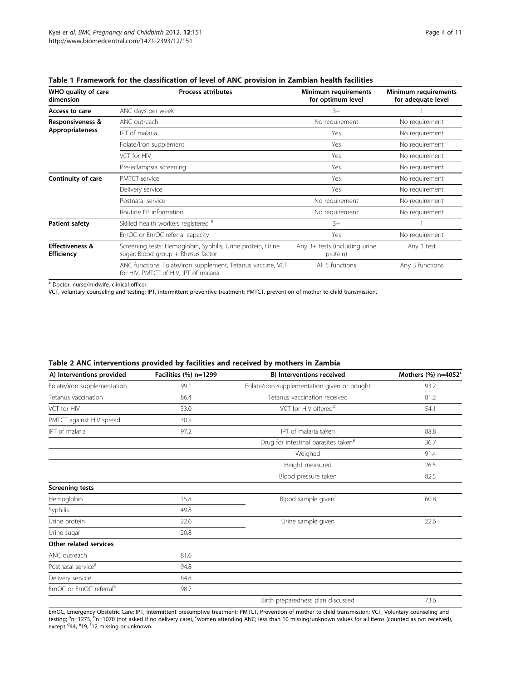| WHO quality of care<br>dimension                | <b>Process attributes</b>                                                                            | Minimum requirements<br>for optimum level | <b>Minimum requirements</b><br>for adequate level |
|-------------------------------------------------|------------------------------------------------------------------------------------------------------|-------------------------------------------|---------------------------------------------------|
| Access to care                                  | ANC days per week                                                                                    | $3+$                                      |                                                   |
| Responsiveness &<br>Appropriateness             | ANC outreach                                                                                         | No requirement                            | No requirement                                    |
|                                                 | IPT of malaria                                                                                       | Yes                                       | No requirement                                    |
|                                                 | Folate/iron supplement                                                                               | Yes                                       | No requirement                                    |
|                                                 | VCT for HIV                                                                                          | Yes                                       | No requirement                                    |
|                                                 | Pre-eclampsia screening                                                                              | Yes                                       | No requirement                                    |
| Continuity of care                              | <b>PMTCT</b> service                                                                                 | Yes                                       | No requirement                                    |
|                                                 | Delivery service                                                                                     | Yes                                       | No requirement                                    |
|                                                 | Postnatal service                                                                                    | No requirement                            | No requirement                                    |
|                                                 | Routine FP information                                                                               | No requirement                            | No requirement                                    |
| <b>Patient safety</b>                           | Skilled health workers registered <sup>a</sup>                                                       | $3+$                                      |                                                   |
|                                                 | EmOC or EmOC referral capacity                                                                       | Yes                                       | No requirement                                    |
| <b>Effectiveness &amp;</b><br><b>Efficiency</b> | Screening tests: Hemoglobin, Syphilis, Urine protein, Urine<br>sugar, Blood group + Rhesus factor    | Any 3+ tests (including urine<br>protein) | Any 1 test                                        |
|                                                 | ANC functions: Folate/iron supplement, Tetanus vaccine, VCT<br>for HIV, PMTCT of HIV, IPT of malaria | All 5 functions                           | Any 3 functions                                   |

<span id="page-3-0"></span>Table 1 Framework for the classification of level of ANC provision in Zambian health facilities

<sup>a</sup> Doctor, nurse/midwife, clinical officer.

VCT, voluntary counseling and testing; IPT, intermittent preventive treatment; PMTCT, prevention of mother to child transmission.

| A) Interventions provided          | Facilities (%) n=1299                               | <b>B)</b> Interventions received     | Mothers (%) $n=4052^c$ |
|------------------------------------|-----------------------------------------------------|--------------------------------------|------------------------|
| Folate/iron supplementation        | Folate/iron supplementation given or bought<br>99.1 |                                      | 93.2                   |
| Tetanus vaccination                | 86.4                                                | Tetanus vaccination received         | 81.2                   |
| VCT for HIV                        | 33.0                                                | VCT for HIV offered <sup>d</sup>     | 54.1                   |
| PMTCT against HIV spread           | 30.5                                                |                                      |                        |
| IPT of malaria                     | 97.2                                                | IPT of malaria taken                 | 88.8                   |
|                                    |                                                     | Drug for intestinal parasites takene | 36.7                   |
|                                    |                                                     | Weighed                              | 91.4                   |
|                                    |                                                     | Height measured                      | 26.5                   |
|                                    |                                                     | Blood pressure taken                 | 82.5                   |
| <b>Screening tests</b>             |                                                     |                                      |                        |
| Hemoglobin                         | 15.8                                                | Blood sample given <sup>†</sup>      | 60.8                   |
| Syphilis                           | 49.8                                                |                                      |                        |
| Urine protein                      | 22.6                                                | Urine sample given<br>22.6           |                        |
| Urine sugar                        | 20.8                                                |                                      |                        |
| <b>Other related services</b>      |                                                     |                                      |                        |
| ANC outreach                       | 81.6                                                |                                      |                        |
| Postnatal service <sup>a</sup>     | 94.8                                                |                                      |                        |
| Delivery service                   | 84.8                                                |                                      |                        |
| EmOC or EmOC referral <sup>b</sup> | 98.7                                                |                                      |                        |
|                                    |                                                     | Birth preparedness plan discussed    | 73.6                   |

#### Table 2 ANC interventions provided by facilities and received by mothers in Zambia

EmOC, Emergency Obstetric Care; IPT, Intermittent presumptive treatment; PMTCT, Prevention of mother to child transmission; VCT, Voluntary counseling and<br>testing; <sup>a</sup>n=1275, <sup>b</sup>n=1070 (not asked if no delivery care), <sup>c</sup>wo except <sup>d</sup>44, <sup>e</sup>19, <sup>f</sup>12 missing or unknown.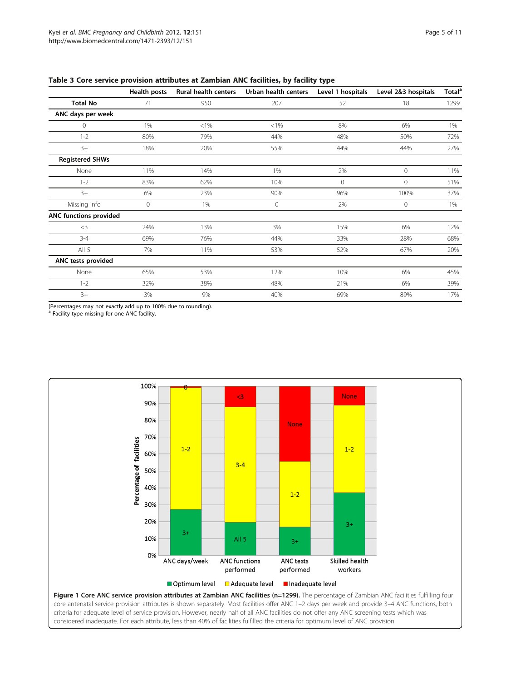|                               | Health posts | <b>Rural health centers</b> | Urban health centers | Level 1 hospitals | Level 2&3 hospitals | Total <sup>a</sup> |
|-------------------------------|--------------|-----------------------------|----------------------|-------------------|---------------------|--------------------|
| <b>Total No</b>               | 71           | 950                         | 207                  | 52                | 18                  | 1299               |
| ANC days per week             |              |                             |                      |                   |                     |                    |
| $\mathbf 0$                   | 1%           | $< 1\%$                     | < 1%                 | 8%                | 6%                  | 1%                 |
| $1 - 2$                       | 80%          | 79%                         | 44%                  | 48%               | 50%                 | 72%                |
| $3+$                          | 18%          | 20%                         | 55%                  | 44%               | 44%                 | 27%                |
| <b>Registered SHWs</b>        |              |                             |                      |                   |                     |                    |
| None                          | 11%          | 14%                         | 1%                   | 2%                | $\mathbf 0$         | 11%                |
| $1 - 2$                       | 83%          | 62%                         | 10%                  | 0                 | $\mathbf 0$         | 51%                |
| $3+$                          | 6%           | 23%                         | 90%                  | 96%               | 100%                | 37%                |
| Missing info                  | 0            | 1%                          | $\mathbf{0}$         | 2%                | $\mathbf{0}$        | 1%                 |
| <b>ANC functions provided</b> |              |                             |                      |                   |                     |                    |
| $<$ 3                         | 24%          | 13%                         | 3%                   | 15%               | 6%                  | 12%                |
| $3 - 4$                       | 69%          | 76%                         | 44%                  | 33%               | 28%                 | 68%                |
| All <sub>5</sub>              | 7%           | 11%                         | 53%                  | 52%               | 67%                 | 20%                |
| ANC tests provided            |              |                             |                      |                   |                     |                    |
| None                          | 65%          | 53%                         | 12%                  | 10%               | 6%                  | 45%                |
| $1 - 2$                       | 32%          | 38%                         | 48%                  | 21%               | 6%                  | 39%                |
| $3+$                          | 3%           | 9%                          | 40%                  | 69%               | 89%                 | 17%                |
|                               |              |                             |                      |                   |                     |                    |

#### <span id="page-4-0"></span>Table 3 Core service provision attributes at Zambian ANC facilities, by facility type

(Percentages may not exactly add up to 100% due to rounding).

<sup>a</sup> Facility type missing for one ANC facility.



considered inadequate. For each attribute, less than 40% of facilities fulfilled the criteria for optimum level of ANC provision.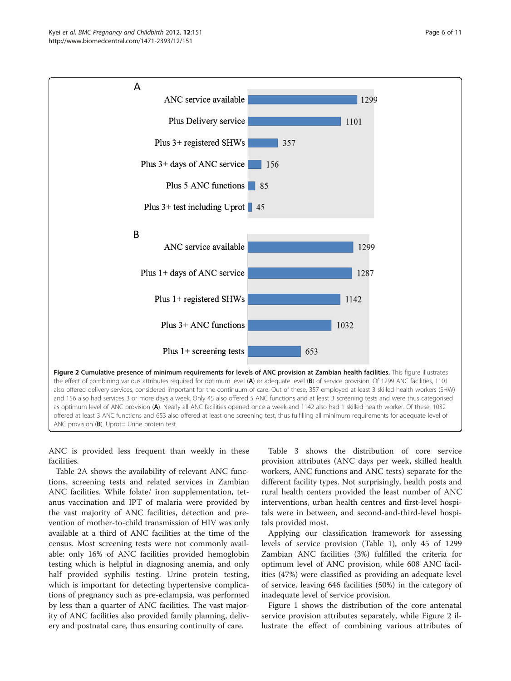

ANC is provided less frequent than weekly in these facilities.

Table [2A](#page-3-0) shows the availability of relevant ANC functions, screening tests and related services in Zambian ANC facilities. While folate/ iron supplementation, tetanus vaccination and IPT of malaria were provided by the vast majority of ANC facilities, detection and prevention of mother-to-child transmission of HIV was only available at a third of ANC facilities at the time of the census. Most screening tests were not commonly available: only 16% of ANC facilities provided hemoglobin testing which is helpful in diagnosing anemia, and only half provided syphilis testing. Urine protein testing, which is important for detecting hypertensive complications of pregnancy such as pre-eclampsia, was performed by less than a quarter of ANC facilities. The vast majority of ANC facilities also provided family planning, delivery and postnatal care, thus ensuring continuity of care.

Table [3](#page-4-0) shows the distribution of core service provision attributes (ANC days per week, skilled health workers, ANC functions and ANC tests) separate for the different facility types. Not surprisingly, health posts and rural health centers provided the least number of ANC interventions, urban health centres and first-level hospitals were in between, and second-and-third-level hospitals provided most.

Applying our classification framework for assessing levels of service provision (Table [1](#page-3-0)), only 45 of 1299 Zambian ANC facilities (3%) fulfilled the criteria for optimum level of ANC provision, while 608 ANC facilities (47%) were classified as providing an adequate level of service, leaving 646 facilities (50%) in the category of inadequate level of service provision.

Figure [1](#page-4-0) shows the distribution of the core antenatal service provision attributes separately, while Figure 2 illustrate the effect of combining various attributes of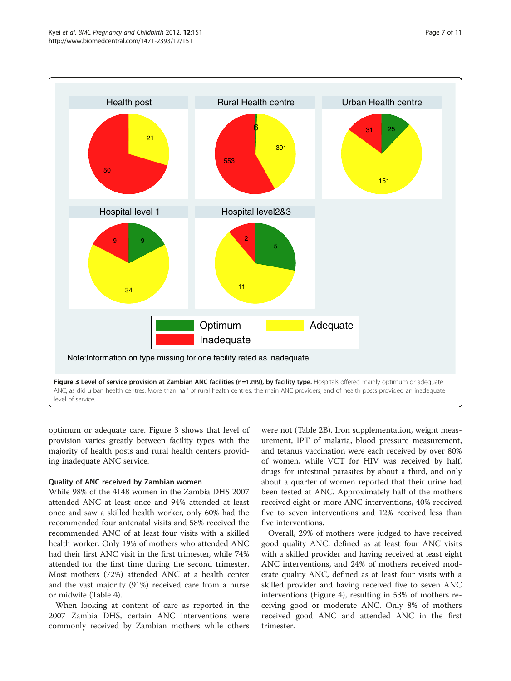

optimum or adequate care. Figure 3 shows that level of provision varies greatly between facility types with the majority of health posts and rural health centers providing inadequate ANC service.

## Quality of ANC received by Zambian women

While 98% of the 4148 women in the Zambia DHS 2007 attended ANC at least once and 94% attended at least once and saw a skilled health worker, only 60% had the recommended four antenatal visits and 58% received the recommended ANC of at least four visits with a skilled health worker. Only 19% of mothers who attended ANC had their first ANC visit in the first trimester, while 74% attended for the first time during the second trimester. Most mothers (72%) attended ANC at a health center and the vast majority (91%) received care from a nurse or midwife (Table [4](#page-7-0)).

When looking at content of care as reported in the 2007 Zambia DHS, certain ANC interventions were commonly received by Zambian mothers while others were not (Table [2B](#page-3-0)). Iron supplementation, weight measurement, IPT of malaria, blood pressure measurement, and tetanus vaccination were each received by over 80% of women, while VCT for HIV was received by half, drugs for intestinal parasites by about a third, and only about a quarter of women reported that their urine had been tested at ANC. Approximately half of the mothers received eight or more ANC interventions, 40% received five to seven interventions and 12% received less than five interventions.

Overall, 29% of mothers were judged to have received good quality ANC, defined as at least four ANC visits with a skilled provider and having received at least eight ANC interventions, and 24% of mothers received moderate quality ANC, defined as at least four visits with a skilled provider and having received five to seven ANC interventions (Figure [4](#page-8-0)), resulting in 53% of mothers receiving good or moderate ANC. Only 8% of mothers received good ANC and attended ANC in the first trimester.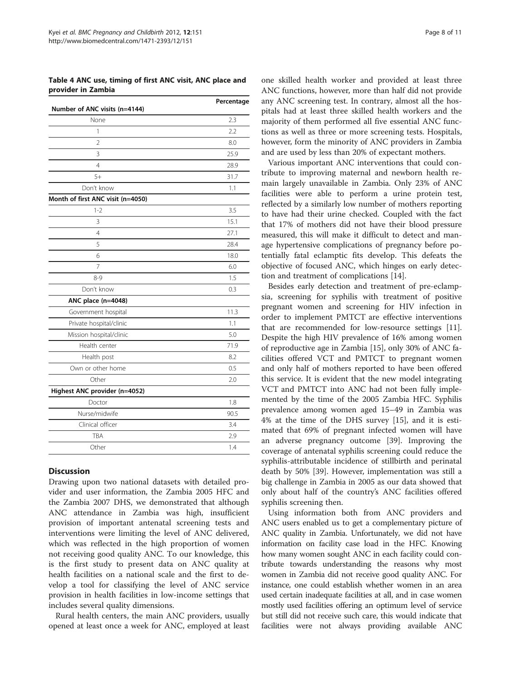<span id="page-7-0"></span>Table 4 ANC use, timing of first ANC visit, ANC place and provider in Zambia

| Number of ANC visits (n=4144)     | Percentage |
|-----------------------------------|------------|
| None                              | 2.3        |
| 1                                 | 2.2        |
| $\mathfrak{D}$                    | 8.0        |
| 3                                 | 25.9       |
| $\overline{4}$                    | 28.9       |
| $5+$                              | 31.7       |
| Don't know                        | 1.1        |
| Month of first ANC visit (n=4050) |            |
| $1 - 2$                           | 3.5        |
| $\overline{3}$                    | 15.1       |
| 4                                 | 27.1       |
| 5                                 | 28.4       |
| 6                                 | 18.0       |
| 7                                 | 6.0        |
| $8 - 9$                           | 1.5        |
| Don't know                        | 0.3        |
| ANC place (n=4048)                |            |
| Government hospital               | 11.3       |
| Private hospital/clinic           | 1.1        |
| Mission hospital/clinic           | 5.0        |
| Health center                     | 71.9       |
| Health post                       | 8.2        |
| Own or other home                 | 0.5        |
| Other                             | 2.0        |
| Highest ANC provider (n=4052)     |            |
| Doctor                            | 1.8        |
| Nurse/midwife                     | 90.5       |
| Clinical officer                  | 3.4        |
| TBA                               | 2.9        |
| Other                             | 1.4        |
|                                   |            |

## **Discussion**

Drawing upon two national datasets with detailed provider and user information, the Zambia 2005 HFC and the Zambia 2007 DHS, we demonstrated that although ANC attendance in Zambia was high, insufficient provision of important antenatal screening tests and interventions were limiting the level of ANC delivered, which was reflected in the high proportion of women not receiving good quality ANC. To our knowledge, this is the first study to present data on ANC quality at health facilities on a national scale and the first to develop a tool for classifying the level of ANC service provision in health facilities in low-income settings that includes several quality dimensions.

Rural health centers, the main ANC providers, usually opened at least once a week for ANC, employed at least

one skilled health worker and provided at least three ANC functions, however, more than half did not provide any ANC screening test. In contrary, almost all the hospitals had at least three skilled health workers and the majority of them performed all five essential ANC functions as well as three or more screening tests. Hospitals, however, form the minority of ANC providers in Zambia and are used by less than 20% of expectant mothers.

Various important ANC interventions that could contribute to improving maternal and newborn health remain largely unavailable in Zambia. Only 23% of ANC facilities were able to perform a urine protein test, reflected by a similarly low number of mothers reporting to have had their urine checked. Coupled with the fact that 17% of mothers did not have their blood pressure measured, this will make it difficult to detect and manage hypertensive complications of pregnancy before potentially fatal eclamptic fits develop. This defeats the objective of focused ANC, which hinges on early detection and treatment of complications [[14\]](#page-10-0).

Besides early detection and treatment of pre-eclampsia, screening for syphilis with treatment of positive pregnant women and screening for HIV infection in order to implement PMTCT are effective interventions that are recommended for low-resource settings [\[11](#page-9-0)]. Despite the high HIV prevalence of 16% among women of reproductive age in Zambia [[15](#page-10-0)], only 30% of ANC facilities offered VCT and PMTCT to pregnant women and only half of mothers reported to have been offered this service. It is evident that the new model integrating VCT and PMTCT into ANC had not been fully implemented by the time of the 2005 Zambia HFC. Syphilis prevalence among women aged 15–49 in Zambia was 4% at the time of the DHS survey [\[15\]](#page-10-0), and it is estimated that 69% of pregnant infected women will have an adverse pregnancy outcome [[39\]](#page-10-0). Improving the coverage of antenatal syphilis screening could reduce the syphilis-attributable incidence of stillbirth and perinatal death by 50% [[39\]](#page-10-0). However, implementation was still a big challenge in Zambia in 2005 as our data showed that only about half of the country's ANC facilities offered syphilis screening then.

Using information both from ANC providers and ANC users enabled us to get a complementary picture of ANC quality in Zambia. Unfortunately, we did not have information on facility case load in the HFC. Knowing how many women sought ANC in each facility could contribute towards understanding the reasons why most women in Zambia did not receive good quality ANC. For instance, one could establish whether women in an area used certain inadequate facilities at all, and in case women mostly used facilities offering an optimum level of service but still did not receive such care, this would indicate that facilities were not always providing available ANC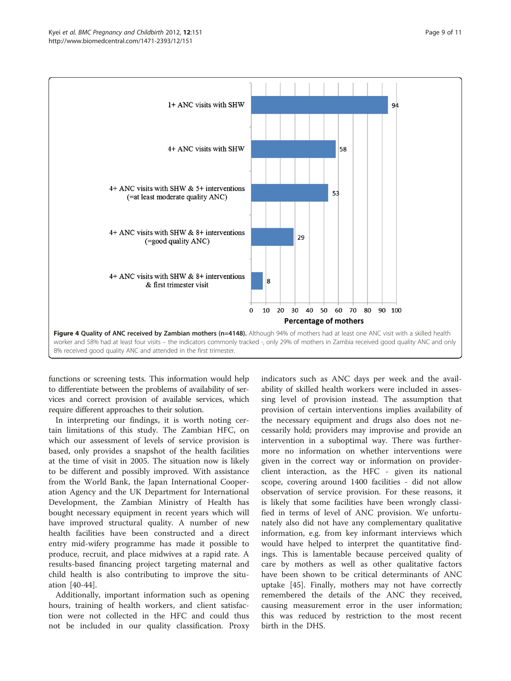<span id="page-8-0"></span>

functions or screening tests. This information would help to differentiate between the problems of availability of services and correct provision of available services, which require different approaches to their solution.

In interpreting our findings, it is worth noting certain limitations of this study. The Zambian HFC, on which our assessment of levels of service provision is based, only provides a snapshot of the health facilities at the time of visit in 2005. The situation now is likely to be different and possibly improved. With assistance from the World Bank, the Japan International Cooperation Agency and the UK Department for International Development, the Zambian Ministry of Health has bought necessary equipment in recent years which will have improved structural quality. A number of new health facilities have been constructed and a direct entry mid-wifery programme has made it possible to produce, recruit, and place midwives at a rapid rate. A results-based financing project targeting maternal and child health is also contributing to improve the situation [\[40](#page-10-0)-[44\]](#page-10-0).

Additionally, important information such as opening hours, training of health workers, and client satisfaction were not collected in the HFC and could thus not be included in our quality classification. Proxy

indicators such as ANC days per week and the availability of skilled health workers were included in assessing level of provision instead. The assumption that provision of certain interventions implies availability of the necessary equipment and drugs also does not necessarily hold; providers may improvise and provide an intervention in a suboptimal way. There was furthermore no information on whether interventions were given in the correct way or information on providerclient interaction, as the HFC - given its national scope, covering around 1400 facilities - did not allow observation of service provision. For these reasons, it is likely that some facilities have been wrongly classified in terms of level of ANC provision. We unfortunately also did not have any complementary qualitative information, e.g. from key informant interviews which would have helped to interpret the quantitative findings. This is lamentable because perceived quality of care by mothers as well as other qualitative factors have been shown to be critical determinants of ANC uptake [\[45\]](#page-10-0). Finally, mothers may not have correctly remembered the details of the ANC they received, causing measurement error in the user information; this was reduced by restriction to the most recent birth in the DHS.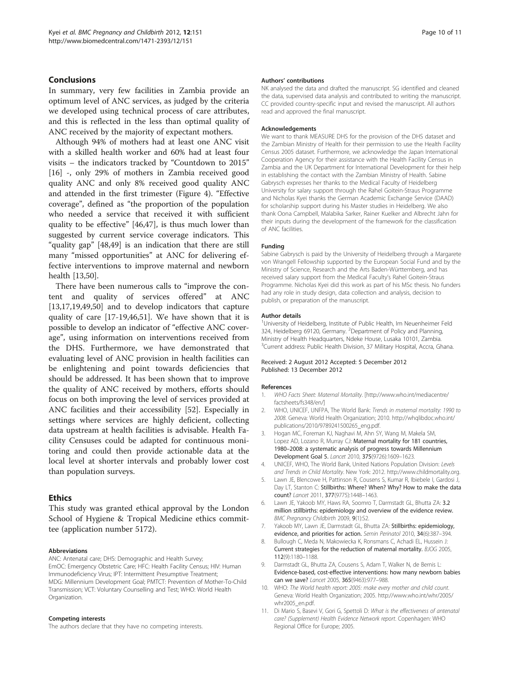## <span id="page-9-0"></span>Conclusions

In summary, very few facilities in Zambia provide an optimum level of ANC services, as judged by the criteria we developed using technical process of care attributes, and this is reflected in the less than optimal quality of ANC received by the majority of expectant mothers.

Although 94% of mothers had at least one ANC visit with a skilled health worker and 60% had at least four visits – the indicators tracked by "Countdown to 2015" [[16\]](#page-10-0) -, only 29% of mothers in Zambia received good quality ANC and only 8% received good quality ANC and attended in the first trimester (Figure [4\)](#page-8-0). "Effective coverage", defined as "the proportion of the population who needed a service that received it with sufficient quality to be effective" [\[46,47\]](#page-10-0), is thus much lower than suggested by current service coverage indicators. This "quality gap" [[48,49\]](#page-10-0) is an indication that there are still many "missed opportunities" at ANC for delivering effective interventions to improve maternal and newborn health [[13,50\]](#page-10-0).

There have been numerous calls to "improve the content and quality of services offered" at ANC [[13,17,19,49,50\]](#page-10-0) and to develop indicators that capture quality of care [\[17-19,46,51](#page-10-0)]. We have shown that it is possible to develop an indicator of "effective ANC coverage", using information on interventions received from the DHS. Furthermore, we have demonstrated that evaluating level of ANC provision in health facilities can be enlightening and point towards deficiencies that should be addressed. It has been shown that to improve the quality of ANC received by mothers, efforts should focus on both improving the level of services provided at ANC facilities and their accessibility [[52](#page-10-0)]. Especially in settings where services are highly deficient, collecting data upstream at health facilities is advisable. Health Facility Censuses could be adapted for continuous monitoring and could then provide actionable data at the local level at shorter intervals and probably lower cost than population surveys.

## Ethics

This study was granted ethical approval by the London School of Hygiene & Tropical Medicine ethics committee (application number 5172).

#### Abbreviations

ANC: Antenatal care; DHS: Demographic and Health Survey; EmOC: Emergency Obstetric Care; HFC: Health Facility Census; HIV: Human Immunodeficiency Virus; IPT: Intermittent Presumptive Treatment; MDG: Millennium Development Goal; PMTCT: Prevention of Mother-To-Child Transmission; VCT: Voluntary Counselling and Test; WHO: World Health Organization.

#### Competing interests

The authors declare that they have no competing interests.

#### Authors' contributions

NK analysed the data and drafted the manuscript. SG identified and cleaned the data, supervised data analysis and contributed to writing the manuscript. CC provided country-specific input and revised the manuscript. All authors read and approved the final manuscript.

#### Acknowledgements

We want to thank MEASURE DHS for the provision of the DHS dataset and the Zambian Ministry of Health for their permission to use the Health Facility Census 2005 dataset. Furthermore, we acknowledge the Japan International Cooperation Agency for their assistance with the Health Facility Census in Zambia and the UK Department for International Development for their help in establishing the contact with the Zambian Ministry of Health. Sabine Gabrysch expresses her thanks to the Medical Faculty of Heidelberg University for salary support through the Rahel Goitein-Straus Programme and Nicholas Kyei thanks the German Academic Exchange Service (DAAD) for scholarship support during his Master studies in Heidelberg. We also thank Oona Campbell, Malabika Sarker, Rainer Kuelker and Albrecht Jahn for their inputs during the development of the framework for the classification of ANC facilities.

#### Funding

Sabine Gabrysch is paid by the University of Heidelberg through a Margarete von Wrangell Fellowship supported by the European Social Fund and by the Ministry of Science, Research and the Arts Baden-Württemberg, and has received salary support from the Medical Faculty's Rahel Goitein-Straus Programme. Nicholas Kyei did this work as part of his MSc thesis. No funders had any role in study design, data collection and analysis, decision to publish, or preparation of the manuscript.

#### Author details

<sup>1</sup>University of Heidelberg, Institute of Public Health, Im Neuenheimer Feld 324, Heidelberg 69120, Germany. <sup>2</sup>Department of Policy and Planning Ministry of Health Headquarters, Ndeke House, Lusaka 10101, Zambia. <sup>3</sup>Current address: Public Health Division, 37 Military Hospital, Accra, Ghana

#### Received: 2 August 2012 Accepted: 5 December 2012 Published: 13 December 2012

#### References

- 1. WHO Facts Sheet: Maternal Mortality. [[http://www.who.int/mediacentre/](http://www.who.int/mediacentre/factsheets/fs348/en/) [factsheets/fs348/en/](http://www.who.int/mediacentre/factsheets/fs348/en/)]
- 2. WHO, UNICEF, UNFPA, The World Bank: Trends in maternal mortality: 1990 to 2008. Geneva: World Health Organization; 2010. [http://whqlibdoc.who.int/](http://whqlibdoc.who.int/publications/2010/9789241500265_eng.pdf) [publications/2010/9789241500265\\_eng.pdf](http://whqlibdoc.who.int/publications/2010/9789241500265_eng.pdf).
- 3. Hogan MC, Foreman KJ, Naghavi M, Ahn SY, Wang M, Makela SM, Lopez AD, Lozano R, Murray CJ: Maternal mortality for 181 countries, 1980–2008: a systematic analysis of progress towards Millennium Development Goal 5. Lancet 2010, 375(9726):1609–1623.
- 4. UNICEF, WHO, The World Bank, United Nations Population Division: Levels and Trends in Child Mortality. New York: 2012. [http://www.childmortality.org.](http://www.childmortality.org)
- 5. Lawn JE, Blencowe H, Pattinson R, Cousens S, Kumar R, Ibiebele I, Gardosi J, Day LT, Stanton C: Stillbirths: Where? When? Why? How to make the data count? Lancet 2011, 377(9775):1448–1463.
- Lawn JE, Yakoob MY, Haws RA, Soomro T, Darmstadt GL, Bhutta ZA: 3.2 million stillbirths: epidemiology and overview of the evidence review. BMC Pregnancy Childbirth 2009, 9(1):S2.
- 7. Yakoob MY, Lawn JE, Darmstadt GL, Bhutta ZA: Stillbirths: epidemiology, evidence, and priorities for action. Semin Perinatol 2010, 34(6):387–394.
- 8. Bullough C, Meda N, Makowiecka K, Ronsmans C, Achadi EL, Hussein J: Current strategies for the reduction of maternal mortality. BJOG 2005, 112(9):1180–1188.
- 9. Darmstadt GL, Bhutta ZA, Cousens S, Adam T, Walker N, de Bernis L: Evidence-based, cost-effective interventions: how many newborn babies can we save? Lancet 2005, 365(9463):977-988.
- 10. WHO: The World health report: 2005: make every mother and child count. Geneva: World Health Organization; 2005. [http://www.who.int/whr/2005/](http://www.who.int/whr/2005/whr2005_en.pdf) [whr2005\\_en.pdf.](http://www.who.int/whr/2005/whr2005_en.pdf)
- 11. Di Mario S, Basevi V, Gori G, Spettoli D: What is the effectiveness of antenatal care? (Supplement) Health Evidence Network report. Copenhagen: WHO Regional Office for Europe; 2005.